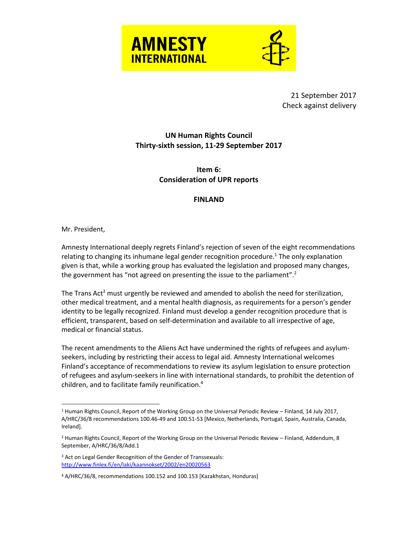

21 September 2017 Check against delivery

# **UN Human Rights Council Thirty-sixth session, 11-29 September 2017**

## **Item 6: Consideration of UPR reports**

### **FINLAND**

#### Mr. President,

 $\overline{a}$ 

Amnesty International deeply regrets Finland's rejection of seven of the eight recommendations relating to changing its inhumane legal gender recognition procedure.<sup>1</sup> The only explanation given is that, while a working group has evaluated the legislation and proposed many changes, the government has "not agreed on presenting the issue to the parliament".<sup>2</sup>

The Trans Act<sup>3</sup> must urgently be reviewed and amended to abolish the need for sterilization, other medical treatment, and a mental health diagnosis, as requirements for a person's gender identity to be legally recognized. Finland must develop a gender recognition procedure that is efficient, transparent, based on self-determination and available to all irrespective of age, medical or financial status.

The recent amendments to the Aliens Act have undermined the rights of refugees and asylumseekers, including by restricting their access to legal aid. Amnesty International welcomes Finland's acceptance of recommendations to review its asylum legislation to ensure protection of refugees and asylum-seekers in line with international standards, to prohibit the detention of children, and to facilitate family reunification. 4

<sup>1</sup> Human Rights Council, Report of the Working Group on the Universal Periodic Review – Finland, 14 July 2017, A/HRC/36/8 recommendations 100.46-49 and 100.51-53 [Mexico, Netherlands, Portugal, Spain, Australia, Canada, Ireland].

<sup>2</sup> Human Rights Council, Report of the Working Group on the Universal Periodic Review – Finland, Addendum, 8 September, A/HRC/36/8/Add.1

<sup>3</sup> Act on Legal Gender Recognition of the Gender of Transsexuals: <http://www.finlex.fi/en/laki/kaannokset/2002/en20020563>

<sup>4</sup> A/HRC/36/8, recommendations 100.152 and 100.153 [Kazakhstan, Honduras]